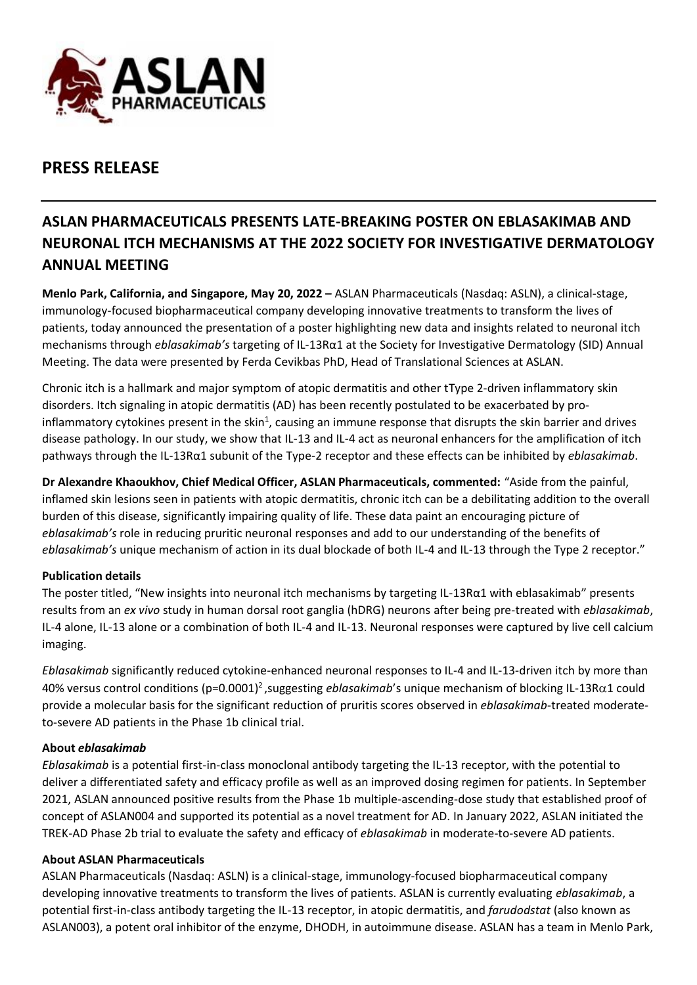

# **PRESS RELEASE**

# **ASLAN PHARMACEUTICALS PRESENTS LATE-BREAKING POSTER ON EBLASAKIMAB AND NEURONAL ITCH MECHANISMS AT THE 2022 SOCIETY FOR INVESTIGATIVE DERMATOLOGY ANNUAL MEETING**

**Menlo Park, California, and Singapore, May 20, 2022 –** ASLAN Pharmaceuticals (Nasdaq: ASLN), a clinical-stage, immunology-focused biopharmaceutical company developing innovative treatments to transform the lives of patients, today announced the presentation of a poster highlighting new data and insights related to neuronal itch mechanisms through *eblasakimab's* targeting of IL-13Rα1 at the Society for Investigative Dermatology (SID) Annual Meeting. The data were presented by Ferda Cevikbas PhD, Head of Translational Sciences at ASLAN.

Chronic itch is a hallmark and major symptom of atopic dermatitis and other tType 2-driven inflammatory skin disorders. Itch signaling in atopic dermatitis (AD) has been recently postulated to be exacerbated by proinflammatory cytokines present in the skin<sup>1</sup>, causing an immune response that disrupts the skin barrier and drives disease pathology. In our study, we show that IL-13 and IL-4 act as neuronal enhancers for the amplification of itch pathways through the IL-13Rα1 subunit of the Type-2 receptor and these effects can be inhibited by *eblasakimab*.

**Dr Alexandre Khaoukhov, Chief Medical Officer, ASLAN Pharmaceuticals, commented:** "Aside from the painful, inflamed skin lesions seen in patients with atopic dermatitis, chronic itch can be a debilitating addition to the overall burden of this disease, significantly impairing quality of life. These data paint an encouraging picture of *eblasakimab's* role in reducing pruritic neuronal responses and add to our understanding of the benefits of *eblasakimab's* unique mechanism of action in its dual blockade of both IL-4 and IL-13 through the Type 2 receptor."

### **Publication details**

The poster titled, "New insights into neuronal itch mechanisms by targeting IL-13Rα1 with eblasakimab" presents results from an *ex vivo* study in human dorsal root ganglia (hDRG) neurons after being pre-treated with *eblasakimab*, IL-4 alone, IL-13 alone or a combination of both IL-4 and IL-13. Neuronal responses were captured by live cell calcium imaging.

*Eblasakimab* significantly reduced cytokine-enhanced neuronal responses to IL-4 and IL-13-driven itch by more than 40% versus control conditions (p=0.0001)<sup>2</sup>, suggesting *eblasakimab*'s unique mechanism of blocking IL-13Rα1 could provide a molecular basis for the significant reduction of pruritis scores observed in *eblasakimab*-treated moderateto-severe AD patients in the Phase 1b clinical trial.

### **About** *eblasakimab*

*Eblasakimab* is a potential first-in-class monoclonal antibody targeting the IL-13 receptor, with the potential to deliver a differentiated safety and efficacy profile as well as an improved dosing regimen for patients. In September 2021, ASLAN announced positive results from the Phase 1b multiple-ascending-dose study that established proof of concept of ASLAN004 and supported its potential as a novel treatment for AD. In January 2022, ASLAN initiated the TREK-AD Phase 2b trial to evaluate the safety and efficacy of *eblasakimab* in moderate-to-severe AD patients.

### **About ASLAN Pharmaceuticals**

ASLAN Pharmaceuticals (Nasdaq: ASLN) is a clinical-stage, immunology-focused biopharmaceutical company developing innovative treatments to transform the lives of patients. ASLAN is currently evaluating *eblasakimab*, a potential first-in-class antibody targeting the IL-13 receptor, in atopic dermatitis, and *farudodstat* (also known as ASLAN003), a potent oral inhibitor of the enzyme, DHODH, in autoimmune disease. ASLAN has a team in Menlo Park,